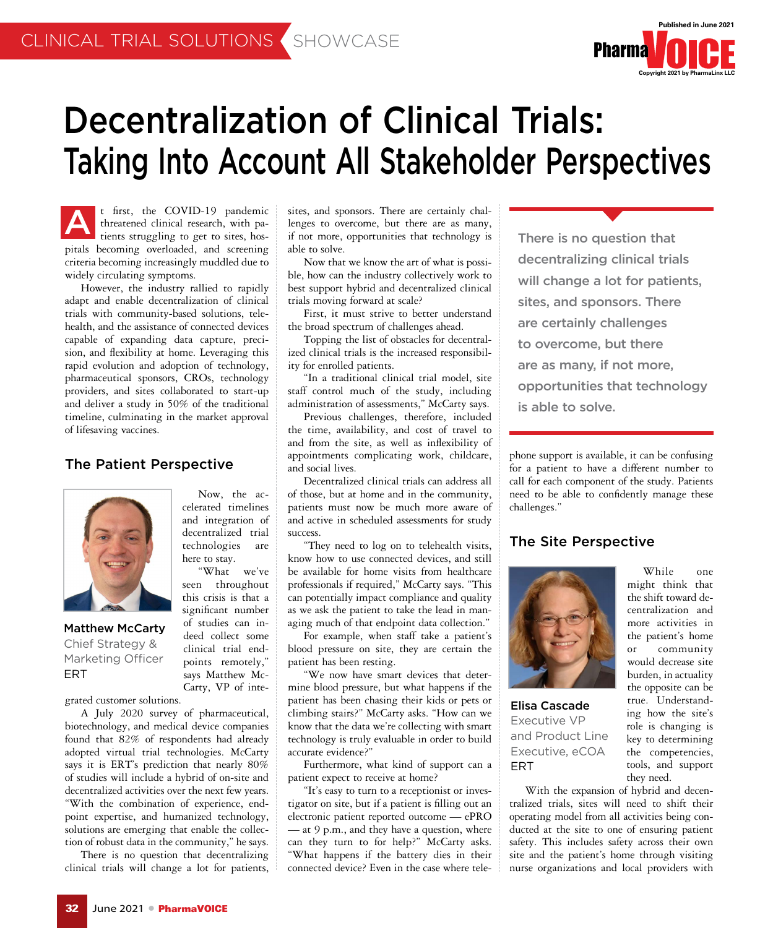

# Decentralization of Clinical Trials: Taking Into Account All Stakeholder Perspectives

t first, the COVID-19 pandemic threatened clinical research, with patients struggling to get to sites, hospitals becoming overloaded, and screening criteria becoming increasingly muddled due to widely circulating symptoms.

However, the industry rallied to rapidly adapt and enable decentralization of clinical trials with community-based solutions, telehealth, and the assistance of connected devices capable of expanding data capture, precision, and flexibility at home. Leveraging this rapid evolution and adoption of technology, pharmaceutical sponsors, CROs, technology providers, and sites collaborated to start-up and deliver a study in 50% of the traditional timeline, culminating in the market approval of lifesaving vaccines.

### The Patient Perspective



Matthew McCarty Chief Strategy & Marketing Officer ERT

Now, the accelerated timelines and integration of decentralized trial technologies are here to stay.

"What we've seen throughout this crisis is that a significant number of studies can indeed collect some clinical trial endpoints remotely," says Matthew Mc-Carty, VP of inte-

grated customer solutions.

A July 2020 survey of pharmaceutical, biotechnology, and medical device companies found that 82% of respondents had already adopted virtual trial technologies. McCarty says it is ERT's prediction that nearly 80% of studies will include a hybrid of on-site and decentralized activities over the next few years. "With the combination of experience, endpoint expertise, and humanized technology, solutions are emerging that enable the collection of robust data in the community," he says.

There is no question that decentralizing clinical trials will change a lot for patients,

sites, and sponsors. There are certainly challenges to overcome, but there are as many, if not more, opportunities that technology is able to solve. There is no question that<br>
threatened clinical research, with pa-<br>
tients struggling to get to sites, hos-<br>
if not more, opportunities that technology is<br>
There is no question that

> Now that we know the art of what is possible, how can the industry collectively work to best support hybrid and decentralized clinical trials moving forward at scale?

> First, it must strive to better understand the broad spectrum of challenges ahead.

> Topping the list of obstacles for decentralized clinical trials is the increased responsibility for enrolled patients.

> "In a traditional clinical trial model, site staff control much of the study, including administration of assessments," McCarty says.

> Previous challenges, therefore, included the time, availability, and cost of travel to and from the site, as well as inflexibility of appointments complicating work, childcare, and social lives.

> Decentralized clinical trials can address all of those, but at home and in the community, patients must now be much more aware of and active in scheduled assessments for study success.

> "They need to log on to telehealth visits, know how to use connected devices, and still be available for home visits from healthcare professionals if required," McCarty says. "This can potentially impact compliance and quality as we ask the patient to take the lead in managing much of that endpoint data collection."

> For example, when staff take a patient's blood pressure on site, they are certain the patient has been resting.

> "We now have smart devices that determine blood pressure, but what happens if the patient has been chasing their kids or pets or climbing stairs?" McCarty asks. "How can we know that the data we're collecting with smart technology is truly evaluable in order to build accurate evidence?"

> Furthermore, what kind of support can a patient expect to receive at home?

> "It's easy to turn to a receptionist or investigator on site, but if a patient is filling out an electronic patient reported outcome — ePRO — at 9 p.m., and they have a question, where can they turn to for help?" McCarty asks. "What happens if the battery dies in their connected device? Even in the case where tele

decentralizing clinical trials will change a lot for patients, sites, and sponsors. There are certainly challenges to overcome, but there are as many, if not more, opportunities that technology is able to solve.

phone support is available, it can be confusing for a patient to have a different number to call for each component of the study. Patients need to be able to confidently manage these challenges."

### The Site Perspective



Elisa Cascade Executive VP and Product Line Executive, eCOA ERT

While one might think that the shift toward decentralization and more activities in the patient's home or community would decrease site burden, in actuality the opposite can be true. Understanding how the site's role is changing is key to determining the competencies, tools, and support they need.

With the expansion of hybrid and decentralized trials, sites will need to shift their operating model from all activities being conducted at the site to one of ensuring patient safety. This includes safety across their own site and the patient's home through visiting nurse organizations and local providers with

**32** June 2021 ● PharmaVOICE